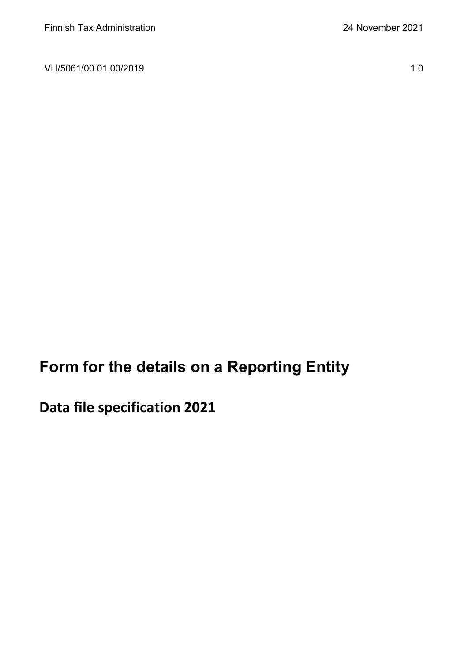VH/5061/00.01.00/2019 1.0

**Form for the details on a Reporting Entity**

**Data file specification 2021**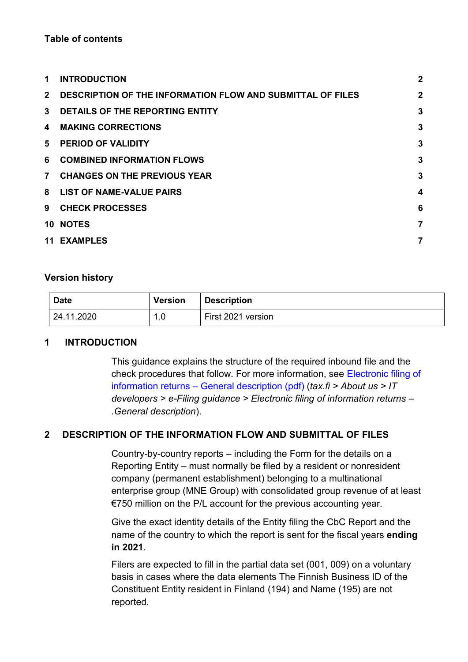#### **Table of contents**

| 1              | <b>INTRODUCTION</b>                                               | $\mathbf{2}$ |
|----------------|-------------------------------------------------------------------|--------------|
| $\mathbf{2}$   | <b>DESCRIPTION OF THE INFORMATION FLOW AND SUBMITTAL OF FILES</b> | $\mathbf{2}$ |
| $\mathbf{3}$   | DETAILS OF THE REPORTING ENTITY                                   | 3            |
| 4              | <b>MAKING CORRECTIONS</b>                                         | 3            |
| 5              | <b>PERIOD OF VALIDITY</b>                                         | 3            |
| 6              | <b>COMBINED INFORMATION FLOWS</b>                                 | 3            |
| $\overline{7}$ | <b>CHANGES ON THE PREVIOUS YEAR</b>                               | 3            |
| 8              | <b>LIST OF NAME-VALUE PAIRS</b>                                   | 4            |
| 9              | <b>CHECK PROCESSES</b>                                            | 6            |
|                | <b>10 NOTES</b>                                                   | 7            |
| 11             | <b>EXAMPLES</b>                                                   |              |

#### **Version history**

| <b>Date</b> | Version | <b>Description</b> |
|-------------|---------|--------------------|
| 124.11.2020 | 1.0     | First 2021 version |

### <span id="page-1-0"></span>**1 INTRODUCTION**

This guidance explains the structure of the required inbound file and the check procedures that follow. For more information, see [Electronic filing of](https://www.vero.fi/globalassets/tietoa-verohallinnosta/ohjelmistokehittajille/sahkoisen-ilmoittamisen-yleiskuvaus_6.4versio_engl.pdf)  information returns – [General description \(pdf\)](https://www.vero.fi/globalassets/tietoa-verohallinnosta/ohjelmistokehittajille/sahkoisen-ilmoittamisen-yleiskuvaus_6.4versio_engl.pdf) (*tax.fi > About us > IT developers > e-Filing guidance > Electronic filing of information returns – .General description*).

### <span id="page-1-1"></span>**2 DESCRIPTION OF THE INFORMATION FLOW AND SUBMITTAL OF FILES**

Country-by-country reports – including the Form for the details on a Reporting Entity – must normally be filed by a resident or nonresident company (permanent establishment) belonging to a multinational enterprise group (MNE Group) with consolidated group revenue of at least €750 million on the P/L account for the previous accounting year.

Give the exact identity details of the Entity filing the CbC Report and the name of the country to which the report is sent for the fiscal years **ending in 2021**.

Filers are expected to fill in the partial data set (001, 009) on a voluntary basis in cases where the data elements The Finnish Business ID of the Constituent Entity resident in Finland (194) and Name (195) are not reported.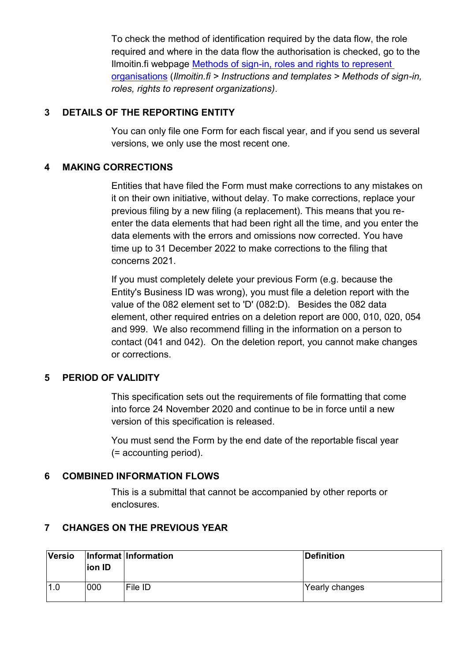To check the method of identification required by the data flow, the role required and where in the data flow the authorisation is checked, go to the Ilmoitin.fi webpage Methods [of sign-in, roles and rights to represent](https://www.ilmoitin.fi/webtamo/sivut/IlmoituslajiRoolit?kieli=en&tv=CBCSEL)  [organisations](https://www.ilmoitin.fi/webtamo/sivut/IlmoituslajiRoolit?kieli=en&tv=CBCSEL) (*Ilmoitin.fi > Instructions and templates > Methods of sign-in, roles, rights to represent organizations)*.

### <span id="page-2-0"></span>**3 DETAILS OF THE REPORTING ENTITY**

You can only file one Form for each fiscal year, and if you send us several versions, we only use the most recent one.

## <span id="page-2-1"></span>**4 MAKING CORRECTIONS**

Entities that have filed the Form must make corrections to any mistakes on it on their own initiative, without delay. To make corrections, replace your previous filing by a new filing (a replacement). This means that you reenter the data elements that had been right all the time, and you enter the data elements with the errors and omissions now corrected. You have time up to 31 December 2022 to make corrections to the filing that concerns 2021.

If you must completely delete your previous Form (e.g. because the Entity's Business ID was wrong), you must file a deletion report with the value of the 082 element set to 'D' (082:D). Besides the 082 data element, other required entries on a deletion report are 000, 010, 020, 054 and 999. We also recommend filling in the information on a person to contact (041 and 042). On the deletion report, you cannot make changes or corrections.

# <span id="page-2-2"></span>**5 PERIOD OF VALIDITY**

This specification sets out the requirements of file formatting that come into force 24 November 2020 and continue to be in force until a new version of this specification is released.

You must send the Form by the end date of the reportable fiscal year (= accounting period).

### <span id="page-2-3"></span>**6 COMBINED INFORMATION FLOWS**

This is a submittal that cannot be accompanied by other reports or enclosures.

# <span id="page-2-4"></span>**7 CHANGES ON THE PREVIOUS YEAR**

| <b>Versio</b> | ion ID | Informat Information | Definition     |
|---------------|--------|----------------------|----------------|
|               | 000    | File ID              | Yearly changes |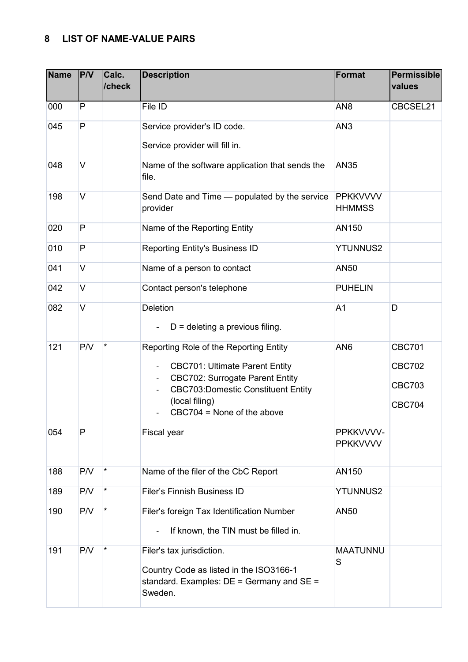## <span id="page-3-0"></span>**8 LIST OF NAME-VALUE PAIRS**

| <b>Name</b> | P/V          | Calc.<br>/check | <b>Description</b>                                                                                                                                                                                                                                                                                           | <b>Format</b>                    | <b>Permissible</b><br>values                                     |
|-------------|--------------|-----------------|--------------------------------------------------------------------------------------------------------------------------------------------------------------------------------------------------------------------------------------------------------------------------------------------------------------|----------------------------------|------------------------------------------------------------------|
| 000         | P            |                 | File ID                                                                                                                                                                                                                                                                                                      | AN <sub>8</sub>                  | CBCSEL21                                                         |
| 045         | P            |                 | Service provider's ID code.<br>Service provider will fill in.                                                                                                                                                                                                                                                | AN <sub>3</sub>                  |                                                                  |
| 048         | V            |                 | Name of the software application that sends the<br>file.                                                                                                                                                                                                                                                     | <b>AN35</b>                      |                                                                  |
| 198         | V            |                 | Send Date and Time - populated by the service<br>provider                                                                                                                                                                                                                                                    | <b>PPKKVVVV</b><br><b>HHMMSS</b> |                                                                  |
| 020         | $\mathsf{P}$ |                 | Name of the Reporting Entity                                                                                                                                                                                                                                                                                 | AN150                            |                                                                  |
| 010         | P            |                 | Reporting Entity's Business ID                                                                                                                                                                                                                                                                               | <b>YTUNNUS2</b>                  |                                                                  |
| 041         | V            |                 | Name of a person to contact                                                                                                                                                                                                                                                                                  | AN50                             |                                                                  |
| 042         | $\vee$       |                 | Contact person's telephone                                                                                                                                                                                                                                                                                   | <b>PUHELIN</b>                   |                                                                  |
| 082         | $\vee$       |                 | Deletion<br>$D =$ deleting a previous filing.                                                                                                                                                                                                                                                                | A <sub>1</sub>                   | D                                                                |
| 121         | P/V          |                 | Reporting Role of the Reporting Entity<br><b>CBC701: Ultimate Parent Entity</b><br>$\overline{\phantom{a}}$<br><b>CBC702: Surrogate Parent Entity</b><br>$\overline{\phantom{a}}$<br><b>CBC703:Domestic Constituent Entity</b><br>$\overline{\phantom{a}}$<br>(local filing)<br>$CBC704 = None of the above$ | AN <sub>6</sub>                  | <b>CBC701</b><br><b>CBC702</b><br><b>CBC703</b><br><b>CBC704</b> |
| 054         | P            |                 | Fiscal year                                                                                                                                                                                                                                                                                                  | PPKKVVVV-<br><b>PPKKVVVV</b>     |                                                                  |
| 188         | P/V          | $\star$         | Name of the filer of the CbC Report                                                                                                                                                                                                                                                                          | AN150                            |                                                                  |
| 189         | P/V          | $\star$         | <b>Filer's Finnish Business ID</b>                                                                                                                                                                                                                                                                           | <b>YTUNNUS2</b>                  |                                                                  |
| 190         | P/V          | $\star$         | Filer's foreign Tax Identification Number<br>If known, the TIN must be filled in.                                                                                                                                                                                                                            | AN50                             |                                                                  |
| 191         | P/V          | $\star$         | Filer's tax jurisdiction.<br>Country Code as listed in the ISO3166-1<br>standard. Examples: $DE =$ Germany and $SE =$<br>Sweden.                                                                                                                                                                             | <b>MAATUNNU</b><br>S             |                                                                  |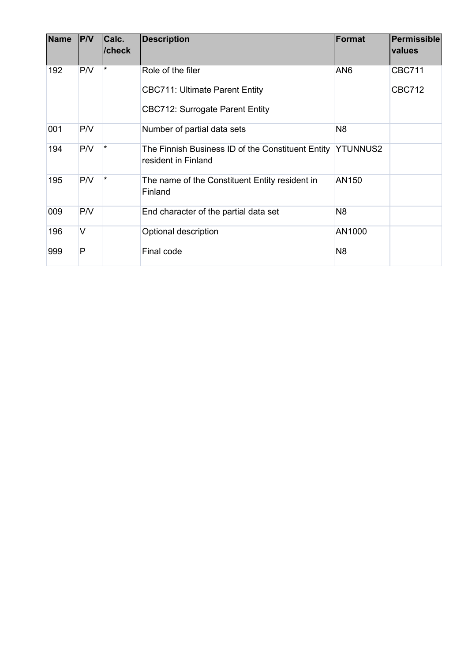| <b>Name</b> | PVV    | Calc.<br>/check | <b>Description</b>                                                                | Format          | Permissible<br>values |
|-------------|--------|-----------------|-----------------------------------------------------------------------------------|-----------------|-----------------------|
| 192         | P/V    | $\star$         | Role of the filer                                                                 | AN <sub>6</sub> | <b>CBC711</b>         |
|             |        |                 | <b>CBC711: Ultimate Parent Entity</b>                                             |                 | <b>CBC712</b>         |
|             |        |                 | <b>CBC712: Surrogate Parent Entity</b>                                            |                 |                       |
| 001         | P/V    |                 | Number of partial data sets                                                       | N <sub>8</sub>  |                       |
| 194         | P/V    | $\star$         | The Finnish Business ID of the Constituent Entity YTUNNUS2<br>resident in Finland |                 |                       |
| 195         | P/V    | $\star$         | The name of the Constituent Entity resident in<br>Finland                         | AN150           |                       |
| 009         | P/V    |                 | End character of the partial data set                                             | N <sub>8</sub>  |                       |
| 196         | $\vee$ |                 | Optional description                                                              | AN1000          |                       |
| 999         | P      |                 | Final code                                                                        | N <sub>8</sub>  |                       |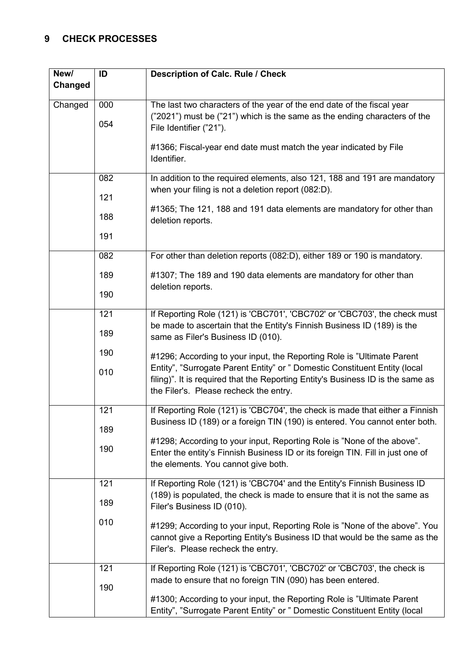# <span id="page-5-0"></span>**9 CHECK PROCESSES**

| New/    | ID  | <b>Description of Calc. Rule / Check</b>                                                                                                                                                                |  |
|---------|-----|---------------------------------------------------------------------------------------------------------------------------------------------------------------------------------------------------------|--|
| Changed |     |                                                                                                                                                                                                         |  |
| Changed | 000 | The last two characters of the year of the end date of the fiscal year<br>("2021") must be ("21") which is the same as the ending characters of the                                                     |  |
|         | 054 | File Identifier ("21").                                                                                                                                                                                 |  |
|         |     | #1366; Fiscal-year end date must match the year indicated by File<br>Identifier.                                                                                                                        |  |
|         |     |                                                                                                                                                                                                         |  |
|         | 082 | In addition to the required elements, also 121, 188 and 191 are mandatory                                                                                                                               |  |
|         | 121 | when your filing is not a deletion report (082:D).                                                                                                                                                      |  |
|         | 188 | #1365; The 121, 188 and 191 data elements are mandatory for other than<br>deletion reports.                                                                                                             |  |
|         | 191 |                                                                                                                                                                                                         |  |
|         | 082 | For other than deletion reports (082:D), either 189 or 190 is mandatory.                                                                                                                                |  |
|         | 189 | #1307; The 189 and 190 data elements are mandatory for other than                                                                                                                                       |  |
|         | 190 | deletion reports.                                                                                                                                                                                       |  |
|         | 121 | If Reporting Role (121) is 'CBC701', 'CBC702' or 'CBC703', the check must                                                                                                                               |  |
|         | 189 | be made to ascertain that the Entity's Finnish Business ID (189) is the<br>same as Filer's Business ID (010).                                                                                           |  |
|         | 190 | #1296; According to your input, the Reporting Role is "Ultimate Parent"                                                                                                                                 |  |
|         | 010 | Entity", "Surrogate Parent Entity" or " Domestic Constituent Entity (local<br>filing)". It is required that the Reporting Entity's Business ID is the same as<br>the Filer's. Please recheck the entry. |  |
|         | 121 | If Reporting Role (121) is 'CBC704', the check is made that either a Finnish                                                                                                                            |  |
|         | 189 | Business ID (189) or a foreign TIN (190) is entered. You cannot enter both.                                                                                                                             |  |
|         | 190 | #1298; According to your input, Reporting Role is "None of the above".<br>Enter the entity's Finnish Business ID or its foreign TIN. Fill in just one of<br>the elements. You cannot give both.         |  |
|         | 121 | If Reporting Role (121) is 'CBC704' and the Entity's Finnish Business ID                                                                                                                                |  |
|         | 189 | (189) is populated, the check is made to ensure that it is not the same as<br>Filer's Business ID (010).                                                                                                |  |
|         | 010 | #1299; According to your input, Reporting Role is "None of the above". You                                                                                                                              |  |
|         |     | cannot give a Reporting Entity's Business ID that would be the same as the<br>Filer's. Please recheck the entry.                                                                                        |  |
|         | 121 | If Reporting Role (121) is 'CBC701', 'CBC702' or 'CBC703', the check is                                                                                                                                 |  |
|         | 190 | made to ensure that no foreign TIN (090) has been entered.                                                                                                                                              |  |
|         |     | #1300; According to your input, the Reporting Role is "Ultimate Parent"<br>Entity", "Surrogate Parent Entity" or " Domestic Constituent Entity (local                                                   |  |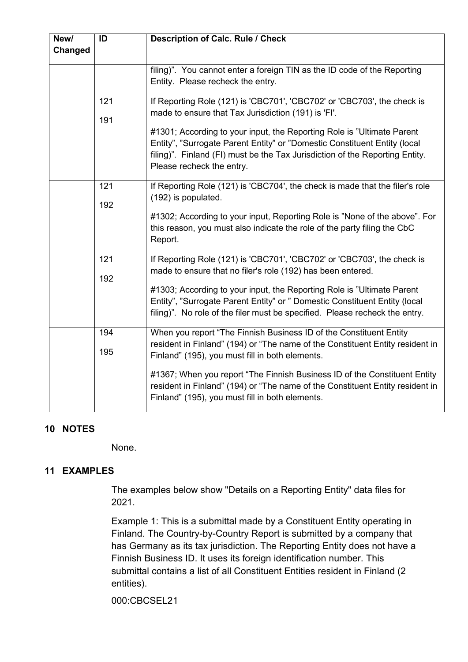| New/<br>Changed | ID         | <b>Description of Calc. Rule / Check</b>                                                                                                                                                                                                                                                                                                                                                                                |
|-----------------|------------|-------------------------------------------------------------------------------------------------------------------------------------------------------------------------------------------------------------------------------------------------------------------------------------------------------------------------------------------------------------------------------------------------------------------------|
|                 |            | filing)". You cannot enter a foreign TIN as the ID code of the Reporting<br>Entity. Please recheck the entry.                                                                                                                                                                                                                                                                                                           |
|                 | 121<br>191 | If Reporting Role (121) is 'CBC701', 'CBC702' or 'CBC703', the check is<br>made to ensure that Tax Jurisdiction (191) is 'FI'.<br>#1301; According to your input, the Reporting Role is "Ultimate Parent"<br>Entity", "Surrogate Parent Entity" or "Domestic Constituent Entity (local<br>filing)". Finland (FI) must be the Tax Jurisdiction of the Reporting Entity.<br>Please recheck the entry.                     |
|                 | 121<br>192 | If Reporting Role (121) is 'CBC704', the check is made that the filer's role<br>(192) is populated.<br>#1302; According to your input, Reporting Role is "None of the above". For<br>this reason, you must also indicate the role of the party filing the CbC<br>Report.                                                                                                                                                |
|                 | 121<br>192 | If Reporting Role (121) is 'CBC701', 'CBC702' or 'CBC703', the check is<br>made to ensure that no filer's role (192) has been entered.<br>#1303; According to your input, the Reporting Role is "Ultimate Parent<br>Entity", "Surrogate Parent Entity" or " Domestic Constituent Entity (local<br>filing)". No role of the filer must be specified. Please recheck the entry.                                           |
|                 | 194<br>195 | When you report "The Finnish Business ID of the Constituent Entity<br>resident in Finland" (194) or "The name of the Constituent Entity resident in<br>Finland" (195), you must fill in both elements.<br>#1367; When you report "The Finnish Business ID of the Constituent Entity<br>resident in Finland" (194) or "The name of the Constituent Entity resident in<br>Finland" (195), you must fill in both elements. |

### <span id="page-6-0"></span>**10 NOTES**

None.

# <span id="page-6-1"></span>**11 EXAMPLES**

The examples below show "Details on a Reporting Entity" data files for 2021.

Example 1: This is a submittal made by a Constituent Entity operating in Finland. The Country-by-Country Report is submitted by a company that has Germany as its tax jurisdiction. The Reporting Entity does not have a Finnish Business ID. It uses its foreign identification number. This submittal contains a list of all Constituent Entities resident in Finland (2 entities).

000:CBCSEL21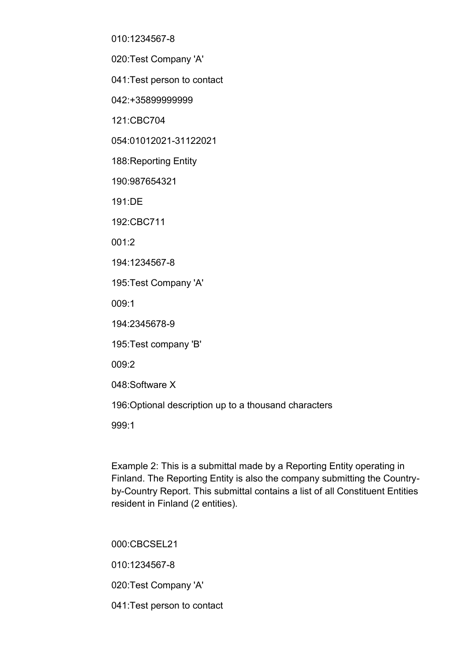010:1234567-8

020:Test Company 'A'

041:Test person to contact

042:+35899999999

121:CBC704

054:01012021-31122021

188:Reporting Entity

190:987654321

191:DE

192:CBC711

001:2

194:1234567-8

195:Test Company 'A'

009:1

194:2345678-9

195:Test company 'B'

009:2

048:Software X

196:Optional description up to a thousand characters

999:1

Example 2: This is a submittal made by a Reporting Entity operating in Finland. The Reporting Entity is also the company submitting the Countryby-Country Report. This submittal contains a list of all Constituent Entities resident in Finland (2 entities).

000:CBCSEL21 010:1234567-8 020:Test Company 'A'

041:Test person to contact